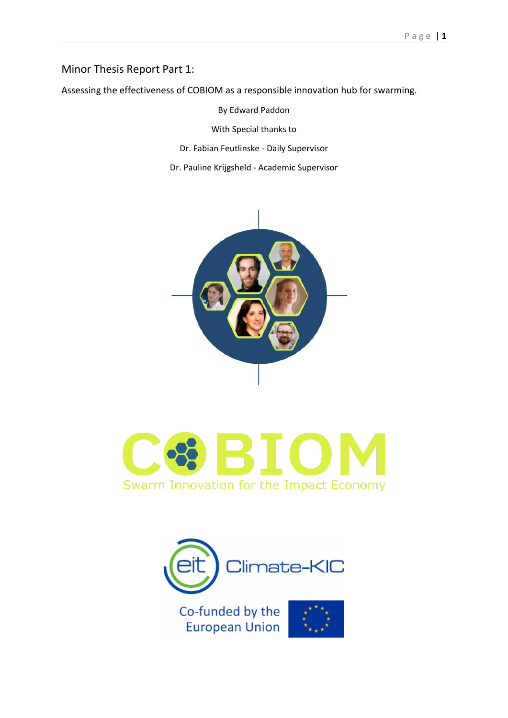# Minor Thesis Report Part 1:

Assessing the effectiveness of COBIOM as a responsible innovation hub for swarming.

By Edward Paddon

With Special thanks to

Dr. Fabian Feutlinske - Daily Supervisor

Dr. Pauline Krijgsheld - Academic Supervisor





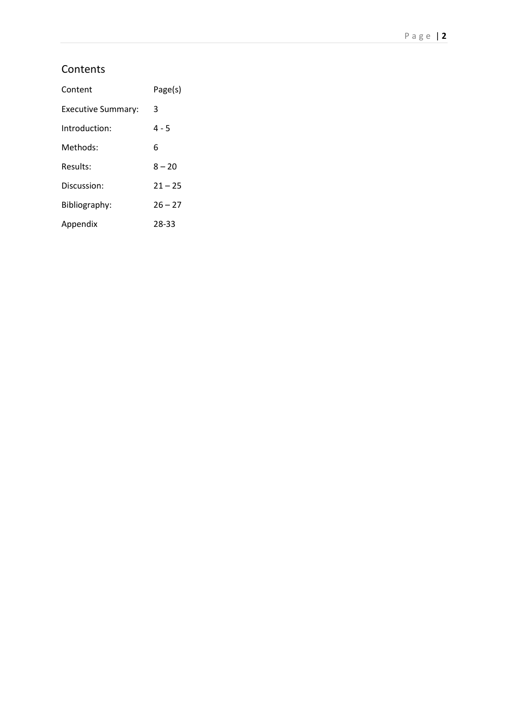# **Contents**

| Content            | Page(s)   |
|--------------------|-----------|
| Executive Summary: | 3         |
| Introduction:      | $4 - 5$   |
| Methods:           | 6         |
| Results:           | $8 - 20$  |
| Discussion:        | $21 - 25$ |
| Bibliography:      | $26 - 27$ |
| Appendix           | 28-33     |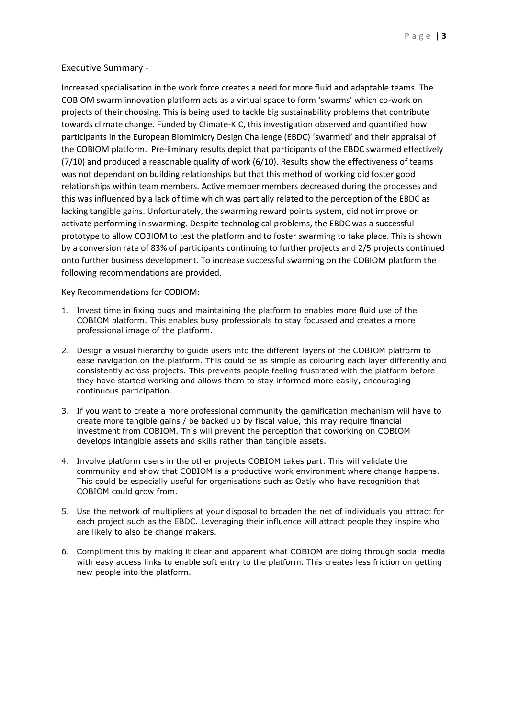# Executive Summary -

Increased specialisation in the work force creates a need for more fluid and adaptable teams. The COBIOM swarm innovation platform acts as a virtual space to form 'swarms' which co-work on projects of their choosing. This is being used to tackle big sustainability problems that contribute towards climate change. Funded by Climate-KIC, this investigation observed and quantified how participants in the European Biomimicry Design Challenge (EBDC) 'swarmed' and their appraisal of the COBIOM platform. Pre-liminary results depict that participants of the EBDC swarmed effectively (7/10) and produced a reasonable quality of work (6/10). Results show the effectiveness of teams was not dependant on building relationships but that this method of working did foster good relationships within team members. Active member members decreased during the processes and this was influenced by a lack of time which was partially related to the perception of the EBDC as lacking tangible gains. Unfortunately, the swarming reward points system, did not improve or activate performing in swarming. Despite technological problems, the EBDC was a successful prototype to allow COBIOM to test the platform and to foster swarming to take place. This is shown by a conversion rate of 83% of participants continuing to further projects and 2/5 projects continued onto further business development. To increase successful swarming on the COBIOM platform the following recommendations are provided.

Key Recommendations for COBIOM:

- 1. Invest time in fixing bugs and maintaining the platform to enables more fluid use of the COBIOM platform. This enables busy professionals to stay focussed and creates a more professional image of the platform.
- 2. Design a visual hierarchy to guide users into the different layers of the COBIOM platform to ease navigation on the platform. This could be as simple as colouring each layer differently and consistently across projects. This prevents people feeling frustrated with the platform before they have started working and allows them to stay informed more easily, encouraging continuous participation.
- 3. If you want to create a more professional community the gamification mechanism will have to create more tangible gains / be backed up by fiscal value, this may require financial investment from COBIOM. This will prevent the perception that coworking on COBIOM develops intangible assets and skills rather than tangible assets.
- 4. Involve platform users in the other projects COBIOM takes part. This will validate the community and show that COBIOM is a productive work environment where change happens. This could be especially useful for organisations such as Oatly who have recognition that COBIOM could grow from.
- 5. Use the network of multipliers at your disposal to broaden the net of individuals you attract for each project such as the EBDC. Leveraging their influence will attract people they inspire who are likely to also be change makers.
- 6. Compliment this by making it clear and apparent what COBIOM are doing through social media with easy access links to enable soft entry to the platform. This creates less friction on getting new people into the platform.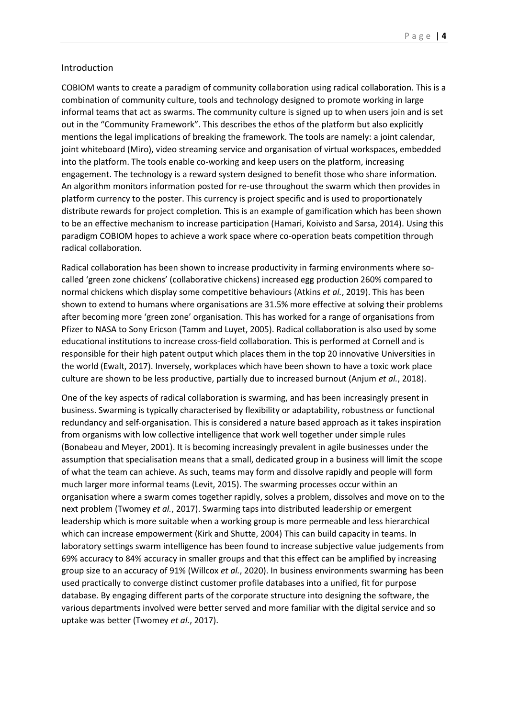#### Introduction

COBIOM wants to create a paradigm of community collaboration using radical collaboration. This is a combination of community culture, tools and technology designed to promote working in large informal teams that act as swarms. The community culture is signed up to when users join and is set out in the "Community Framework". This describes the ethos of the platform but also explicitly mentions the legal implications of breaking the framework. The tools are namely: a joint calendar, joint whiteboard (Miro), video streaming service and organisation of virtual workspaces, embedded into the platform. The tools enable co-working and keep users on the platform, increasing engagement. The technology is a reward system designed to benefit those who share information. An algorithm monitors information posted for re-use throughout the swarm which then provides in platform currency to the poster. This currency is project specific and is used to proportionately distribute rewards for project completion. This is an example of gamification which has been shown to be an effective mechanism to increase participation (Hamari, Koivisto and Sarsa, 2014). Using this paradigm COBIOM hopes to achieve a work space where co-operation beats competition through radical collaboration.

Radical collaboration has been shown to increase productivity in farming environments where socalled 'green zone chickens' (collaborative chickens) increased egg production 260% compared to normal chickens which display some competitive behaviours (Atkins *et al.*, 2019). This has been shown to extend to humans where organisations are 31.5% more effective at solving their problems after becoming more 'green zone' organisation. This has worked for a range of organisations from Pfizer to NASA to Sony Ericson (Tamm and Luyet, 2005). Radical collaboration is also used by some educational institutions to increase cross-field collaboration. This is performed at Cornell and is responsible for their high patent output which places them in the top 20 innovative Universities in the world (Ewalt, 2017). Inversely, workplaces which have been shown to have a toxic work place culture are shown to be less productive, partially due to increased burnout (Anjum *et al.*, 2018).

One of the key aspects of radical collaboration is swarming, and has been increasingly present in business. Swarming is typically characterised by flexibility or adaptability, robustness or functional redundancy and self-organisation. This is considered a nature based approach as it takes inspiration from organisms with low collective intelligence that work well together under simple rules (Bonabeau and Meyer, 2001). It is becoming increasingly prevalent in agile businesses under the assumption that specialisation means that a small, dedicated group in a business will limit the scope of what the team can achieve. As such, teams may form and dissolve rapidly and people will form much larger more informal teams (Levit, 2015). The swarming processes occur within an organisation where a swarm comes together rapidly, solves a problem, dissolves and move on to the next problem (Twomey *et al.*, 2017). Swarming taps into distributed leadership or emergent leadership which is more suitable when a working group is more permeable and less hierarchical which can increase empowerment (Kirk and Shutte, 2004) This can build capacity in teams. In laboratory settings swarm intelligence has been found to increase subjective value judgements from 69% accuracy to 84% accuracy in smaller groups and that this effect can be amplified by increasing group size to an accuracy of 91% (Willcox *et al.*, 2020). In business environments swarming has been used practically to converge distinct customer profile databases into a unified, fit for purpose database. By engaging different parts of the corporate structure into designing the software, the various departments involved were better served and more familiar with the digital service and so uptake was better (Twomey *et al.*, 2017).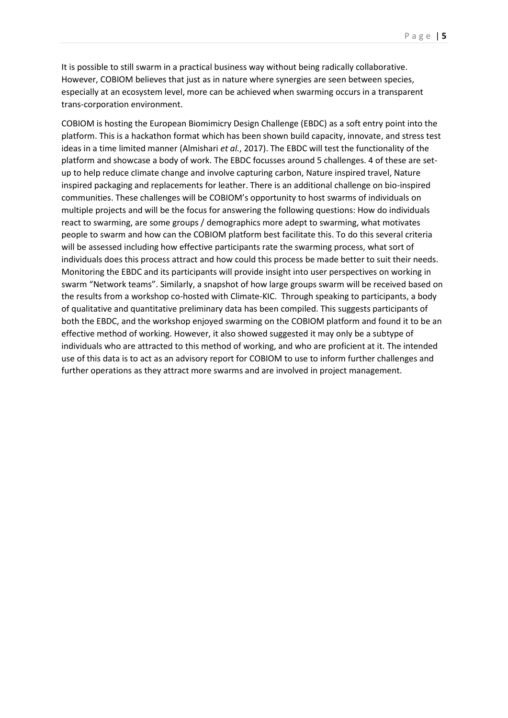It is possible to still swarm in a practical business way without being radically collaborative. However, COBIOM believes that just as in nature where synergies are seen between species, especially at an ecosystem level, more can be achieved when swarming occurs in a transparent trans-corporation environment.

COBIOM is hosting the European Biomimicry Design Challenge (EBDC) as a soft entry point into the platform. This is a hackathon format which has been shown build capacity, innovate, and stress test ideas in a time limited manner (Almishari *et al.*, 2017). The EBDC will test the functionality of the platform and showcase a body of work. The EBDC focusses around 5 challenges. 4 of these are setup to help reduce climate change and involve capturing carbon, Nature inspired travel, Nature inspired packaging and replacements for leather. There is an additional challenge on bio-inspired communities. These challenges will be COBIOM's opportunity to host swarms of individuals on multiple projects and will be the focus for answering the following questions: How do individuals react to swarming, are some groups / demographics more adept to swarming, what motivates people to swarm and how can the COBIOM platform best facilitate this. To do this several criteria will be assessed including how effective participants rate the swarming process, what sort of individuals does this process attract and how could this process be made better to suit their needs. Monitoring the EBDC and its participants will provide insight into user perspectives on working in swarm "Network teams". Similarly, a snapshot of how large groups swarm will be received based on the results from a workshop co-hosted with Climate-KIC. Through speaking to participants, a body of qualitative and quantitative preliminary data has been compiled. This suggests participants of both the EBDC, and the workshop enjoyed swarming on the COBIOM platform and found it to be an effective method of working. However, it also showed suggested it may only be a subtype of individuals who are attracted to this method of working, and who are proficient at it. The intended use of this data is to act as an advisory report for COBIOM to use to inform further challenges and further operations as they attract more swarms and are involved in project management.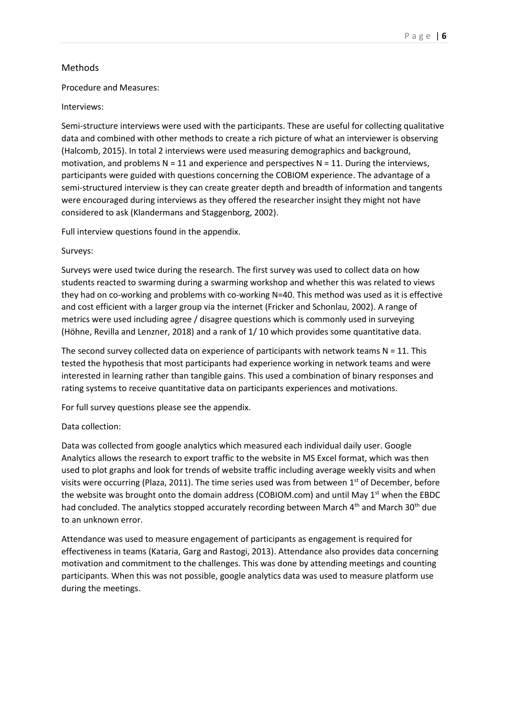# Methods

## Procedure and Measures:

## Interviews:

Semi-structure interviews were used with the participants. These are useful for collecting qualitative data and combined with other methods to create a rich picture of what an interviewer is observing (Halcomb, 2015). In total 2 interviews were used measuring demographics and background, motivation, and problems  $N = 11$  and experience and perspectives  $N = 11$ . During the interviews, participants were guided with questions concerning the COBIOM experience. The advantage of a semi-structured interview is they can create greater depth and breadth of information and tangents were encouraged during interviews as they offered the researcher insight they might not have considered to ask (Klandermans and Staggenborg, 2002).

Full interview questions found in the appendix.

### Surveys:

Surveys were used twice during the research. The first survey was used to collect data on how students reacted to swarming during a swarming workshop and whether this was related to views they had on co-working and problems with co-working N=40. This method was used as it is effective and cost efficient with a larger group via the internet (Fricker and Schonlau, 2002). A range of metrics were used including agree / disagree questions which is commonly used in surveying (Höhne, Revilla and Lenzner, 2018) and a rank of 1/ 10 which provides some quantitative data.

The second survey collected data on experience of participants with network teams  $N = 11$ . This tested the hypothesis that most participants had experience working in network teams and were interested in learning rather than tangible gains. This used a combination of binary responses and rating systems to receive quantitative data on participants experiences and motivations.

For full survey questions please see the appendix.

## Data collection:

Data was collected from google analytics which measured each individual daily user. Google Analytics allows the research to export traffic to the website in MS Excel format, which was then used to plot graphs and look for trends of website traffic including average weekly visits and when visits were occurring (Plaza, 2011). The time series used was from between 1<sup>st</sup> of December, before the website was brought onto the domain address (COBIOM.com) and until May  $1<sup>st</sup>$  when the EBDC had concluded. The analytics stopped accurately recording between March  $4<sup>th</sup>$  and March 30<sup>th</sup> due to an unknown error.

Attendance was used to measure engagement of participants as engagement is required for effectiveness in teams (Kataria, Garg and Rastogi, 2013). Attendance also provides data concerning motivation and commitment to the challenges. This was done by attending meetings and counting participants. When this was not possible, google analytics data was used to measure platform use during the meetings.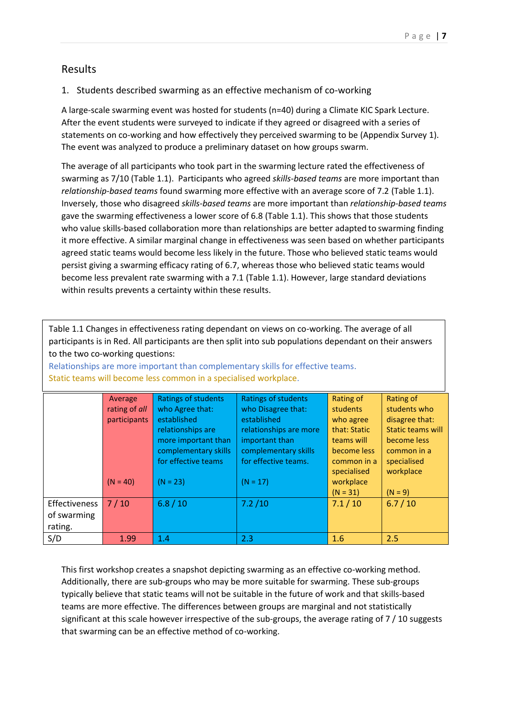# Results

# 1. Students described swarming as an effective mechanism of co-working

A large-scale swarming event was hosted for students (n=40) during a Climate KIC Spark Lecture. After the event students were surveyed to indicate if they agreed or disagreed with a series of statements on co-working and how effectively they perceived swarming to be (Appendix Survey 1). The event was analyzed to produce a preliminary dataset on how groups swarm.

The average of all participants who took part in the swarming lecture rated the effectiveness of swarming as 7/10 (Table 1.1). Participants who agreed *skills-based teams* are more important than *relationship-based teams* found swarming more effective with an average score of 7.2 (Table 1.1). Inversely, those who disagreed *skills-based teams* are more important than *relationship-based teams* gave the swarming effectiveness a lower score of 6.8 (Table 1.1). This shows that those students who value skills-based collaboration more than relationships are better adapted to swarming finding it more effective. A similar marginal change in effectiveness was seen based on whether participants agreed static teams would become less likely in the future. Those who believed static teams would persist giving a swarming efficacy rating of 6.7, whereas those who believed static teams would become less prevalent rate swarming with a 7.1 (Table 1.1). However, large standard deviations within results prevents a certainty within these results.

Table 1.1 Changes in effectiveness rating dependant on views on co-working. The average of all participants is in Red. All participants are then split into sub populations dependant on their answers to the two co-working questions:

|               | Average       | <b>Ratings of students</b> | Ratings of students    | Rating of    | Rating of                |
|---------------|---------------|----------------------------|------------------------|--------------|--------------------------|
|               | rating of all | who Agree that:            | who Disagree that:     | students     | students who             |
|               | participants  | established                | established            | who agree    | disagree that:           |
|               |               | relationships are          | relationships are more | that: Static | <b>Static teams will</b> |
|               |               | more important than        | important than         | teams will   | become less              |
|               |               | complementary skills       | complementary skills   | become less  | common in a              |
|               |               | for effective teams        | for effective teams.   | common in a  | specialised              |
|               |               |                            |                        | specialised  | workplace                |
|               | $(N = 40)$    | $(N = 23)$                 | $(N = 17)$             | workplace    |                          |
|               |               |                            |                        | $(N = 31)$   | $(N = 9)$                |
| Effectiveness | 7/10          | 6.8 / 10                   | 7.2 / 10               | 7.1/10       | 6.7/10                   |
| of swarming   |               |                            |                        |              |                          |
| rating.       |               |                            |                        |              |                          |
| S/D           | 1.99          | 1.4                        | 2.3                    | 1.6          | 2.5                      |

Relationships are more important than complementary skills for effective teams. Static teams will become less common in a specialised workplace.

This first workshop creates a snapshot depicting swarming as an effective co-working method. Additionally, there are sub-groups who may be more suitable for swarming. These sub-groups typically believe that static teams will not be suitable in the future of work and that skills-based teams are more effective. The differences between groups are marginal and not statistically significant at this scale however irrespective of the sub-groups, the average rating of 7 / 10 suggests that swarming can be an effective method of co-working.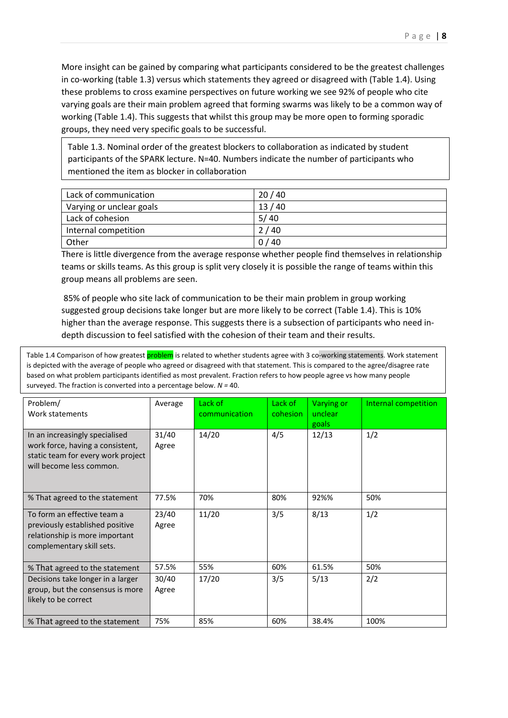More insight can be gained by comparing what participants considered to be the greatest challenges in co-working (table 1.3) versus which statements they agreed or disagreed with (Table 1.4). Using these problems to cross examine perspectives on future working we see 92% of people who cite varying goals are their main problem agreed that forming swarms was likely to be a common way of working (Table 1.4). This suggests that whilst this group may be more open to forming sporadic groups, they need very specific goals to be successful.

Table 1.3. Nominal order of the greatest blockers to collaboration as indicated by student participants of the SPARK lecture. N=40. Numbers indicate the number of participants who mentioned the item as blocker in collaboration

| Lack of communication    | 20/40 |
|--------------------------|-------|
| Varying or unclear goals | 13/40 |
| Lack of cohesion         | 5/40  |
| Internal competition     | 2/40  |
| Other                    | 0/40  |

There is little divergence from the average response whether people find themselves in relationship teams or skills teams. As this group is split very closely it is possible the range of teams within this group means all problems are seen.

85% of people who site lack of communication to be their main problem in group working suggested group decisions take longer but are more likely to be correct (Table 1.4). This is 10% higher than the average response. This suggests there is a subsection of participants who need indepth discussion to feel satisfied with the cohesion of their team and their results.

Table 1.4 Comparison of how greatest **problem** is related to whether students agree with 3 co-working statements. Work statement is depicted with the average of people who agreed or disagreed with that statement. This is compared to the agree/disagree rate based on what problem participants identified as most prevalent. Fraction refers to how people agree vs how many people surveyed. The fraction is converted into a percentage below. *N =* 40.

| Problem/<br>Work statements                                                                                                          | Average        | Lack of<br>communication | Lack of<br>cohesion | Varying or<br>unclear<br>goals | Internal competition |
|--------------------------------------------------------------------------------------------------------------------------------------|----------------|--------------------------|---------------------|--------------------------------|----------------------|
| In an increasingly specialised<br>work force, having a consistent,<br>static team for every work project<br>will become less common. | 31/40<br>Agree | 14/20                    | 4/5                 | 12/13                          | 1/2                  |
| % That agreed to the statement                                                                                                       | 77.5%          | 70%                      | 80%                 | 92%%                           | 50%                  |
| To form an effective team a<br>previously established positive<br>relationship is more important<br>complementary skill sets.        | 23/40<br>Agree | 11/20                    | 3/5                 | 8/13                           | 1/2                  |
| % That agreed to the statement                                                                                                       | 57.5%          | 55%                      | 60%                 | 61.5%                          | 50%                  |
| Decisions take longer in a larger<br>group, but the consensus is more<br>likely to be correct                                        | 30/40<br>Agree | 17/20                    | 3/5                 | 5/13                           | 2/2                  |
| % That agreed to the statement                                                                                                       | 75%            | 85%                      | 60%                 | 38.4%                          | 100%                 |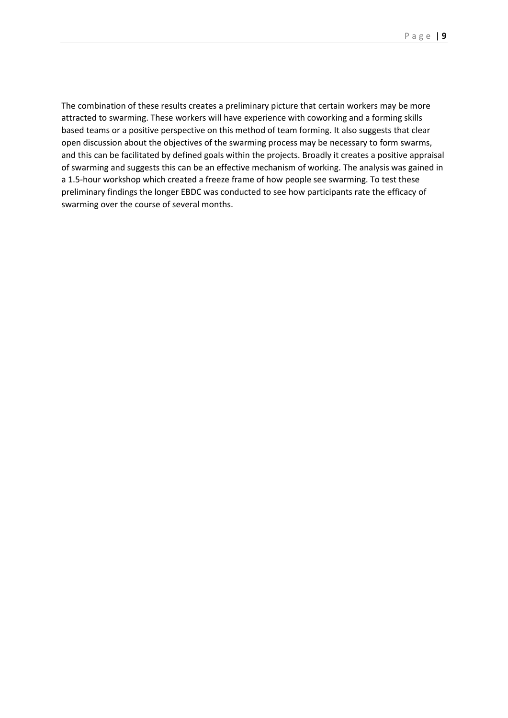The combination of these results creates a preliminary picture that certain workers may be more attracted to swarming. These workers will have experience with coworking and a forming skills based teams or a positive perspective on this method of team forming. It also suggests that clear open discussion about the objectives of the swarming process may be necessary to form swarms, and this can be facilitated by defined goals within the projects. Broadly it creates a positive appraisal of swarming and suggests this can be an effective mechanism of working. The analysis was gained in a 1.5-hour workshop which created a freeze frame of how people see swarming. To test these preliminary findings the longer EBDC was conducted to see how participants rate the efficacy of swarming over the course of several months.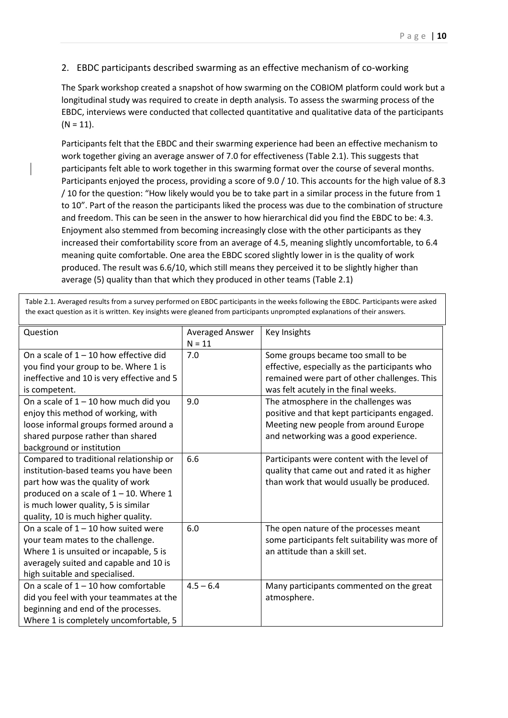# 2. EBDC participants described swarming as an effective mechanism of co-working

The Spark workshop created a snapshot of how swarming on the COBIOM platform could work but a longitudinal study was required to create in depth analysis. To assess the swarming process of the EBDC, interviews were conducted that collected quantitative and qualitative data of the participants  $(N = 11)$ .

Participants felt that the EBDC and their swarming experience had been an effective mechanism to work together giving an average answer of 7.0 for effectiveness (Table 2.1). This suggests that participants felt able to work together in this swarming format over the course of several months. Participants enjoyed the process, providing a score of 9.0 / 10. This accounts for the high value of 8.3 / 10 for the question: "How likely would you be to take part in a similar process in the future from 1 to 10". Part of the reason the participants liked the process was due to the combination of structure and freedom. This can be seen in the answer to how hierarchical did you find the EBDC to be: 4.3. Enjoyment also stemmed from becoming increasingly close with the other participants as they increased their comfortability score from an average of 4.5, meaning slightly uncomfortable, to 6.4 meaning quite comfortable. One area the EBDC scored slightly lower in is the quality of work produced. The result was 6.6/10, which still means they perceived it to be slightly higher than average (5) quality than that which they produced in other teams (Table 2.1)

Table 2.1. Averaged results from a survey performed on EBDC participants in the weeks following the EBDC. Participants were asked the exact question as it is written. Key insights were gleaned from participants unprompted explanations of their answers.

| Question                                   | <b>Averaged Answer</b> | Key Insights                                   |
|--------------------------------------------|------------------------|------------------------------------------------|
|                                            | $N = 11$               |                                                |
| On a scale of $1 - 10$ how effective did   | 7.0                    | Some groups became too small to be             |
| you find your group to be. Where 1 is      |                        | effective, especially as the participants who  |
| ineffective and 10 is very effective and 5 |                        | remained were part of other challenges. This   |
| is competent.                              |                        | was felt acutely in the final weeks.           |
| On a scale of $1 - 10$ how much did you    | 9.0                    | The atmosphere in the challenges was           |
| enjoy this method of working, with         |                        | positive and that kept participants engaged.   |
| loose informal groups formed around a      |                        | Meeting new people from around Europe          |
| shared purpose rather than shared          |                        | and networking was a good experience.          |
| background or institution                  |                        |                                                |
| Compared to traditional relationship or    | 6.6                    | Participants were content with the level of    |
| institution-based teams you have been      |                        | quality that came out and rated it as higher   |
| part how was the quality of work           |                        | than work that would usually be produced.      |
| produced on a scale of $1 - 10$ . Where 1  |                        |                                                |
| is much lower quality, 5 is similar        |                        |                                                |
| quality, 10 is much higher quality.        |                        |                                                |
| On a scale of $1 - 10$ how suited were     | 6.0                    | The open nature of the processes meant         |
| your team mates to the challenge.          |                        | some participants felt suitability was more of |
| Where 1 is unsuited or incapable, 5 is     |                        | an attitude than a skill set.                  |
| averagely suited and capable and 10 is     |                        |                                                |
| high suitable and specialised.             |                        |                                                |
| On a scale of $1 - 10$ how comfortable     | $4.5 - 6.4$            | Many participants commented on the great       |
| did you feel with your teammates at the    |                        | atmosphere.                                    |
| beginning and end of the processes.        |                        |                                                |
| Where 1 is completely uncomfortable, 5     |                        |                                                |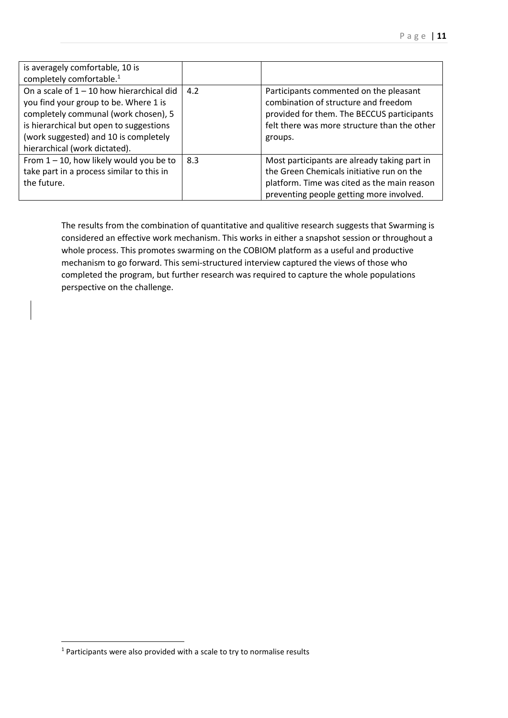| is averagely comfortable, 10 is<br>completely comfortable. <sup>1</sup>                                                                                                                                                                           |     |                                                                                                                                                                                         |
|---------------------------------------------------------------------------------------------------------------------------------------------------------------------------------------------------------------------------------------------------|-----|-----------------------------------------------------------------------------------------------------------------------------------------------------------------------------------------|
| On a scale of $1 - 10$ how hierarchical did<br>you find your group to be. Where 1 is<br>completely communal (work chosen), 5<br>is hierarchical but open to suggestions<br>(work suggested) and 10 is completely<br>hierarchical (work dictated). | 4.2 | Participants commented on the pleasant<br>combination of structure and freedom<br>provided for them. The BECCUS participants<br>felt there was more structure than the other<br>groups. |
| From $1 - 10$ , how likely would you be to<br>take part in a process similar to this in<br>the future.                                                                                                                                            | 8.3 | Most participants are already taking part in<br>the Green Chemicals initiative run on the<br>platform. Time was cited as the main reason<br>preventing people getting more involved.    |

The results from the combination of quantitative and qualitive research suggests that Swarming is considered an effective work mechanism. This works in either a snapshot session or throughout a whole process. This promotes swarming on the COBIOM platform as a useful and productive mechanism to go forward. This semi-structured interview captured the views of those who completed the program, but further research was required to capture the whole populations perspective on the challenge.

<sup>&</sup>lt;sup>1</sup> Participants were also provided with a scale to try to normalise results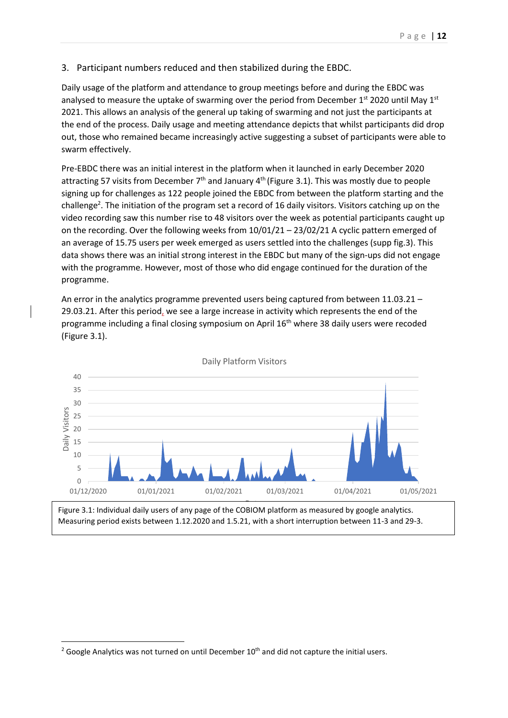3. Participant numbers reduced and then stabilized during the EBDC.

Daily usage of the platform and attendance to group meetings before and during the EBDC was analysed to measure the uptake of swarming over the period from December 1st 2020 until May 1st 2021. This allows an analysis of the general up taking of swarming and not just the participants at the end of the process. Daily usage and meeting attendance depicts that whilst participants did drop out, those who remained became increasingly active suggesting a subset of participants were able to swarm effectively.

Pre-EBDC there was an initial interest in the platform when it launched in early December 2020 attracting 57 visits from December  $7<sup>th</sup>$  and January 4<sup>th</sup> (Figure 3.1). This was mostly due to people signing up for challenges as 122 people joined the EBDC from between the platform starting and the challenge<sup>2</sup>. The initiation of the program set a record of 16 daily visitors. Visitors catching up on the video recording saw this number rise to 48 visitors over the week as potential participants caught up on the recording. Over the following weeks from 10/01/21 – 23/02/21 A cyclic pattern emerged of an average of 15.75 users per week emerged as users settled into the challenges (supp fig.3). This data shows there was an initial strong interest in the EBDC but many of the sign-ups did not engage with the programme. However, most of those who did engage continued for the duration of the programme.

An error in the analytics programme prevented users being captured from between 11.03.21 – 29.03.21. After this period, we see a large increase in activity which represents the end of the programme including a final closing symposium on April  $16<sup>th</sup>$  where 38 daily users were recoded (Figure 3.1).



Daily Platform Visitors

Figure 3.1: Individual daily users of any page of the COBIOM platform as measured by google analytics. Measuring period exists between 1.12.2020 and 1.5.21, with a short interruption between 11-3 and 29-3.

 $2$  Google Analytics was not turned on until December 10<sup>th</sup> and did not capture the initial users.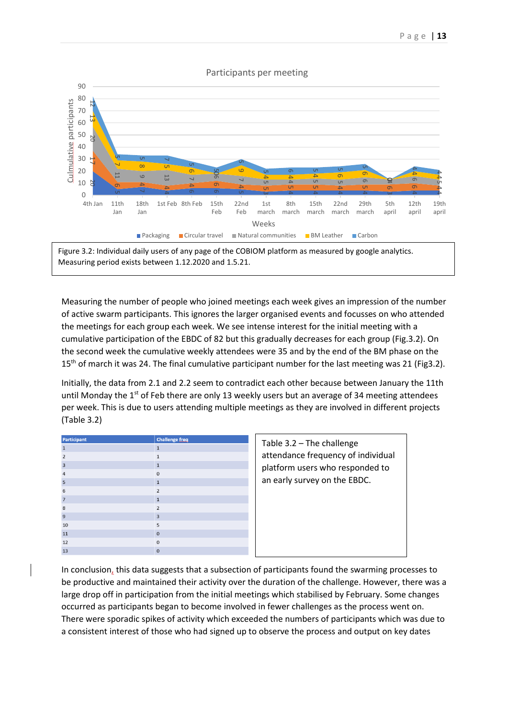#### Participants per meeting



Figure 3.2: Individual daily users of any page of the COBIOM platform as measured by google analytics. Measuring period exists between 1.12.2020 and 1.5.21.

Measuring the number of people who joined meetings each week gives an impression of the number of active swarm participants. This ignores the larger organised events and focusses on who attended the meetings for each group each week. We see intense interest for the initial meeting with a cumulative participation of the EBDC of 82 but this gradually decreases for each group (Fig.3.2). On the second week the cumulative weekly attendees were 35 and by the end of the BM phase on the 15<sup>th</sup> of march it was 24. The final cumulative participant number for the last meeting was 21 (Fig3.2).

Initially, the data from 2.1 and 2.2 seem to contradict each other because between January the 11th until Monday the 1<sup>st</sup> of Feb there are only 13 weekly users but an average of 34 meeting attendees per week. This is due to users attending multiple meetings as they are involved in different projects (Table 3.2)

| Participant    | <b>Challenge freq</b> |
|----------------|-----------------------|
| $\mathbf{1}$   | $\mathbf{1}$          |
| $\overline{2}$ | $\mathbf{1}$          |
| $\overline{3}$ | $\mathbf{1}$          |
| $\overline{4}$ | $\mathbf 0$           |
| 5              | $\overline{1}$        |
| 6              | $\overline{2}$        |
| $\overline{7}$ | $\mathbf{1}$          |
| 8              | $\overline{2}$        |
| $\overline{9}$ | $\overline{3}$        |
| 10             | 5                     |
| 11             | $\mathbf 0$           |
| 12             | $\mathbf 0$           |
| 13             | $\mathbf{0}$          |

Table 3.2 – The challenge attendance frequency of individual platform users who responded to an early survey on the EBDC.

In conclusion, this data suggests that a subsection of participants found the swarming processes to be productive and maintained their activity over the duration of the challenge. However, there was a large drop off in participation from the initial meetings which stabilised by February. Some changes occurred as participants began to become involved in fewer challenges as the process went on. There were sporadic spikes of activity which exceeded the numbers of participants which was due to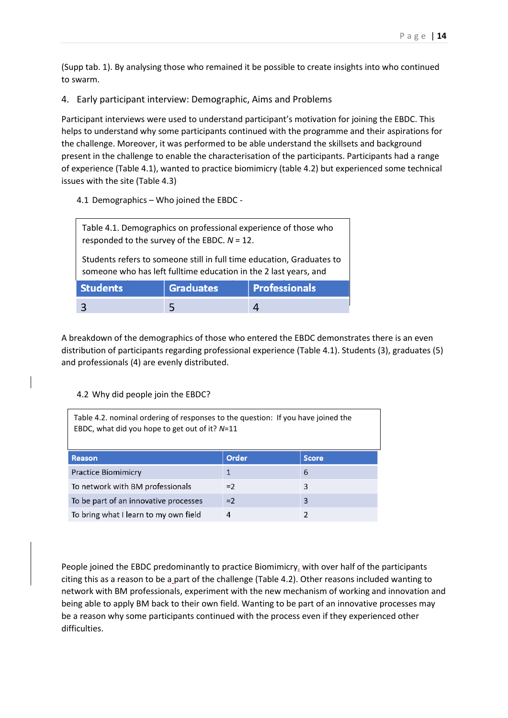(Supp tab. 1). By analysing those who remained it be possible to create insights into who continued to swarm.

## 4. Early participant interview: Demographic, Aims and Problems

Participant interviews were used to understand participant's motivation for joining the EBDC. This helps to understand why some participants continued with the programme and their aspirations for the challenge. Moreover, it was performed to be able understand the skillsets and background present in the challenge to enable the characterisation of the participants. Participants had a range of experience (Table 4.1), wanted to practice biomimicry (table 4.2) but experienced some technical issues with the site (Table 4.3)

4.1 Demographics – Who joined the EBDC -

5

| Table 4.1. Demographics on professional experience of those who<br>responded to the survey of the EBDC. $N = 12$ .                        |  |  |  |  |
|-------------------------------------------------------------------------------------------------------------------------------------------|--|--|--|--|
| Students refers to someone still in full time education, Graduates to<br>someone who has left fulltime education in the 2 last years, and |  |  |  |  |
| <b>Students</b><br><b>Graduates</b><br><b>Professionals</b>                                                                               |  |  |  |  |

A breakdown of the demographics of those who entered the EBDC demonstrates there is an even distribution of participants regarding professional experience (Table 4.1). Students (3), graduates (5) and professionals (4) are evenly distributed.

 $\overline{4}$ 

#### 4.2 Why did people join the EBDC?

 $\overline{\mathbf{3}}$ 

| Table 4.2. nominal ordering of responses to the question: If you have joined the<br>EBDC, what did you hope to get out of it? N=11 |       |              |  |  |
|------------------------------------------------------------------------------------------------------------------------------------|-------|--------------|--|--|
| <b>Reason</b>                                                                                                                      | Order | <b>Score</b> |  |  |
| <b>Practice Biomimicry</b>                                                                                                         | 1     | 6            |  |  |
| To network with BM professionals<br>3<br>$=2$                                                                                      |       |              |  |  |
| To be part of an innovative processes<br>3<br>$=2$                                                                                 |       |              |  |  |
| To bring what I learn to my own field<br>4<br>2                                                                                    |       |              |  |  |

People joined the EBDC predominantly to practice Biomimicry, with over half of the participants citing this as a reason to be a part of the challenge (Table 4.2). Other reasons included wanting to network with BM professionals, experiment with the new mechanism of working and innovation and being able to apply BM back to their own field. Wanting to be part of an innovative processes may be a reason why some participants continued with the process even if they experienced other difficulties.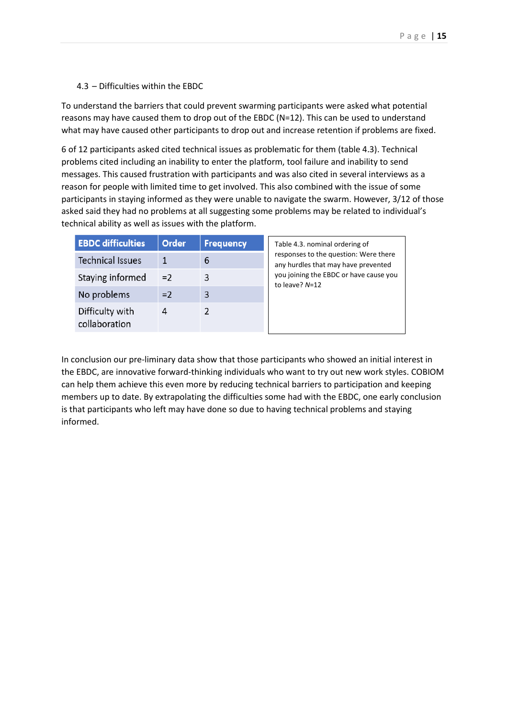## 4.3 – Difficulties within the EBDC

To understand the barriers that could prevent swarming participants were asked what potential reasons may have caused them to drop out of the EBDC (N=12). This can be used to understand what may have caused other participants to drop out and increase retention if problems are fixed.

6 of 12 participants asked cited technical issues as problematic for them (table 4.3). Technical problems cited including an inability to enter the platform, tool failure and inability to send messages. This caused frustration with participants and was also cited in several interviews as a reason for people with limited time to get involved. This also combined with the issue of some participants in staying informed as they were unable to navigate the swarm. However, 3/12 of those asked said they had no problems at all suggesting some problems may be related to individual's technical ability as well as issues with the platform.

| <b>EBDC difficulties</b>         | Order | <b>Frequency</b> | Table 4.3. nominal ordering of                                               |
|----------------------------------|-------|------------------|------------------------------------------------------------------------------|
| <b>Technical Issues</b>          |       | 6                | responses to the question: Were there<br>any hurdles that may have prevented |
| Staying informed                 | $=2$  | 3                | you joining the EBDC or have cause you<br>to leave? N=12                     |
| No problems                      | $=2$  | 3                |                                                                              |
| Difficulty with<br>collaboration | 4     |                  |                                                                              |

In conclusion our pre-liminary data show that those participants who showed an initial interest in the EBDC, are innovative forward-thinking individuals who want to try out new work styles. COBIOM can help them achieve this even more by reducing technical barriers to participation and keeping members up to date. By extrapolating the difficulties some had with the EBDC, one early conclusion is that participants who left may have done so due to having technical problems and staying informed.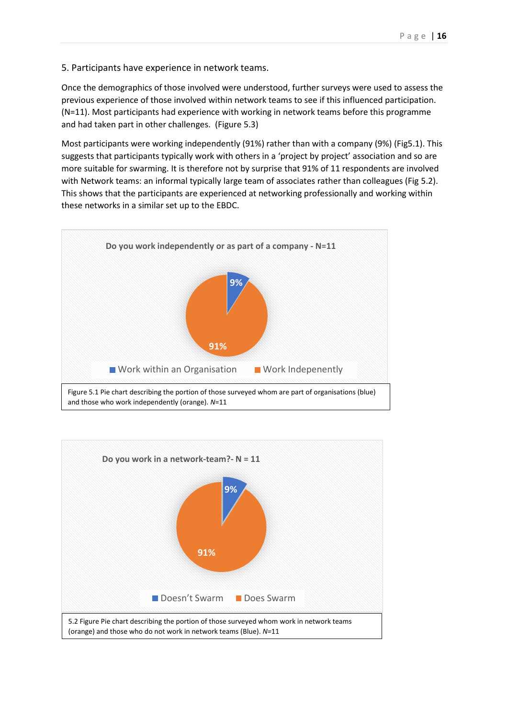5. Participants have experience in network teams.

Once the demographics of those involved were understood, further surveys were used to assess the previous experience of those involved within network teams to see if this influenced participation. (N=11). Most participants had experience with working in network teams before this programme and had taken part in other challenges. (Figure 5.3)

Most participants were working independently (91%) rather than with a company (9%) (Fig5.1). This suggests that participants typically work with others in a 'project by project' association and so are more suitable for swarming. It is therefore not by surprise that 91% of 11 respondents are involved with Network teams: an informal typically large team of associates rather than colleagues (Fig 5.2). This shows that the participants are experienced at networking professionally and working within these networks in a similar set up to the EBDC.



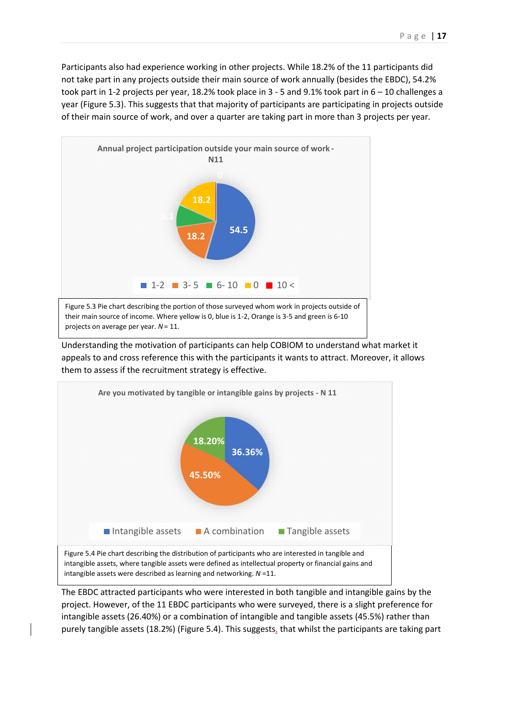Participants also had experience working in other projects. While 18.2% of the 11 participants did not take part in any projects outside their main source of work annually (besides the EBDC), 54.2% took part in 1-2 projects per year, 18.2% took place in 3 - 5 and 9.1% took part in 6 – 10 challenges a year (Figure 5.3). This suggests that that majority of participants are participating in projects outside of their main source of work, and over a quarter are taking part in more than 3 projects per year.



Understanding the motivation of participants can help COBIOM to understand what market it appeals to and cross reference this with the participants it wants to attract. Moreover, it allows them to assess if the recruitment strategy is effective.



The EBDC attracted participants who were interested in both tangible and intangible gains by the project. However, of the 11 EBDC participants who were surveyed, there is a slight preference for intangible assets (26.40%) or a combination of intangible and tangible assets (45.5%) rather than purely tangible assets (18.2%) (Figure 5.4). This suggests, that whilst the participants are taking part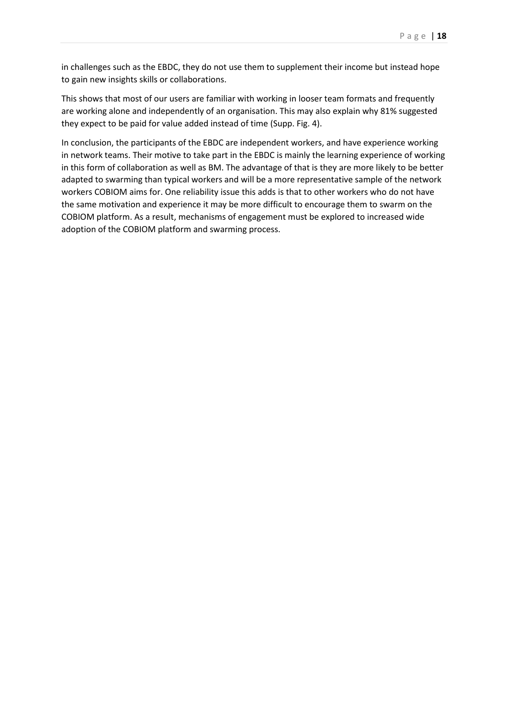in challenges such as the EBDC, they do not use them to supplement their income but instead hope to gain new insights skills or collaborations.

This shows that most of our users are familiar with working in looser team formats and frequently are working alone and independently of an organisation. This may also explain why 81% suggested they expect to be paid for value added instead of time (Supp. Fig. 4).

In conclusion, the participants of the EBDC are independent workers, and have experience working in network teams. Their motive to take part in the EBDC is mainly the learning experience of working in this form of collaboration as well as BM. The advantage of that is they are more likely to be better adapted to swarming than typical workers and will be a more representative sample of the network workers COBIOM aims for. One reliability issue this adds is that to other workers who do not have the same motivation and experience it may be more difficult to encourage them to swarm on the COBIOM platform. As a result, mechanisms of engagement must be explored to increased wide adoption of the COBIOM platform and swarming process.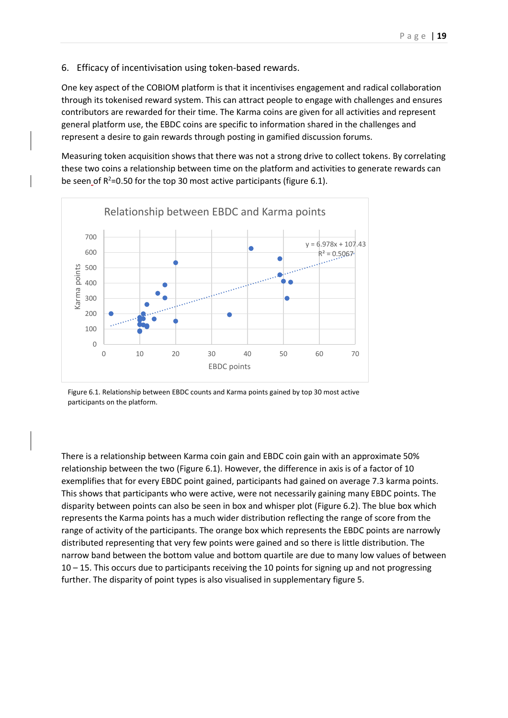#### 6. Efficacy of incentivisation using token-based rewards.

One key aspect of the COBIOM platform is that it incentivises engagement and radical collaboration through its tokenised reward system. This can attract people to engage with challenges and ensures contributors are rewarded for their time. The Karma coins are given for all activities and represent general platform use, the EBDC coins are specific to information shared in the challenges and represent a desire to gain rewards through posting in gamified discussion forums.

Measuring token acquisition shows that there was not a strong drive to collect tokens. By correlating these two coins a relationship between time on the platform and activities to generate rewards can be seen of  $R^2$ =0.50 for the top 30 most active participants (figure 6.1).



Figure 6.1. Relationship between EBDC counts and Karma points gained by top 30 most active participants on the platform.

There is a relationship between Karma coin gain and EBDC coin gain with an approximate 50% relationship between the two (Figure 6.1). However, the difference in axis is of a factor of 10 exemplifies that for every EBDC point gained, participants had gained on average 7.3 karma points. This shows that participants who were active, were not necessarily gaining many EBDC points. The disparity between points can also be seen in box and whisper plot (Figure 6.2). The blue box which represents the Karma points has a much wider distribution reflecting the range of score from the range of activity of the participants. The orange box which represents the EBDC points are narrowly distributed representing that very few points were gained and so there is little distribution. The narrow band between the bottom value and bottom quartile are due to many low values of between  $10 - 15$ . This occurs due to participants receiving the 10 points for signing up and not progressing further. The disparity of point types is also visualised in supplementary figure 5.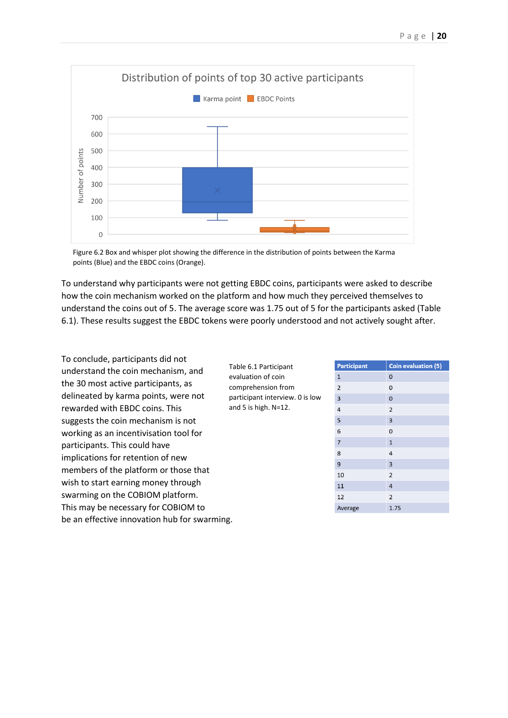

Figure 6.2 Box and whisper plot showing the difference in the distribution of points between the Karma points (Blue) and the EBDC coins (Orange).

To understand why participants were not getting EBDC coins, participants were asked to describe how the coin mechanism worked on the platform and how much they perceived themselves to understand the coins out of 5. The average score was 1.75 out of 5 for the participants asked (Table 6.1). These results suggest the EBDC tokens were poorly understood and not actively sought after.

To conclude, participants did not understand the coin mechanism, and the 30 most active participants, as delineated by karma points, were not rewarded with EBDC coins. This suggests the coin mechanism is not working as an incentivisation tool for participants. This could have implications for retention of new members of the platform or those that wish to start earning money through swarming on the COBIOM platform. This may be necessary for COBIOM to be an effective innovation hub for swarming.

Table 6.1 Participant evaluation of coin comprehension from participant interview. 0 is low and 5 is high. N=12.

| <b>Participant</b>      | <b>Coin evaluation (5)</b> |
|-------------------------|----------------------------|
| $\mathbf{1}$            | $\mathbf 0$                |
| $\overline{2}$          | 0                          |
| $\overline{\mathbf{3}}$ | 0                          |
| $\overline{4}$          | $\overline{2}$             |
| 5                       | 3                          |
| 6                       | O                          |
| $\overline{7}$          | $\mathbf{1}$               |
| 8                       | 4                          |
| 9                       | 3                          |
| 10                      | $\overline{2}$             |
| 11                      | $\overline{4}$             |
| 12                      | $\overline{2}$             |
| Average                 | 1.75                       |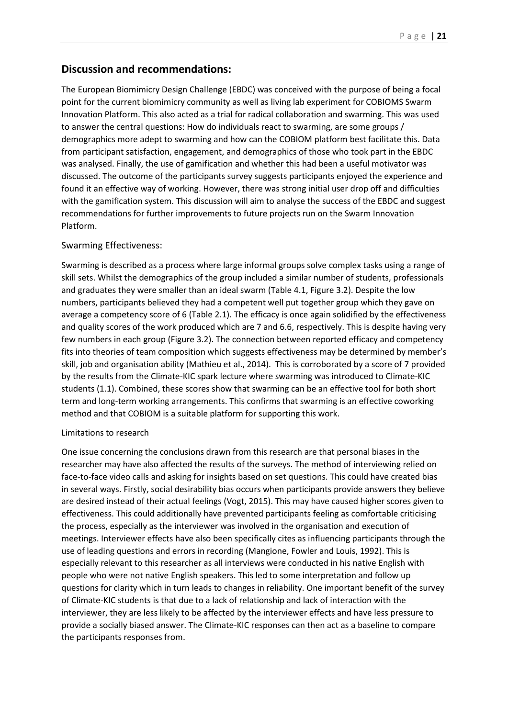# **Discussion and recommendations:**

The European Biomimicry Design Challenge (EBDC) was conceived with the purpose of being a focal point for the current biomimicry community as well as living lab experiment for COBIOMS Swarm Innovation Platform. This also acted as a trial for radical collaboration and swarming. This was used to answer the central questions: How do individuals react to swarming, are some groups / demographics more adept to swarming and how can the COBIOM platform best facilitate this. Data from participant satisfaction, engagement, and demographics of those who took part in the EBDC was analysed. Finally, the use of gamification and whether this had been a useful motivator was discussed. The outcome of the participants survey suggests participants enjoyed the experience and found it an effective way of working. However, there was strong initial user drop off and difficulties with the gamification system. This discussion will aim to analyse the success of the EBDC and suggest recommendations for further improvements to future projects run on the Swarm Innovation Platform.

# Swarming Effectiveness:

Swarming is described as a process where large informal groups solve complex tasks using a range of skill sets. Whilst the demographics of the group included a similar number of students, professionals and graduates they were smaller than an ideal swarm (Table 4.1, Figure 3.2). Despite the low numbers, participants believed they had a competent well put together group which they gave on average a competency score of 6 (Table 2.1). The efficacy is once again solidified by the effectiveness and quality scores of the work produced which are 7 and 6.6, respectively. This is despite having very few numbers in each group (Figure 3.2). The connection between reported efficacy and competency fits into theories of team composition which suggests effectiveness may be determined by member's skill, job and organisation ability (Mathieu et al., 2014). This is corroborated by a score of 7 provided by the results from the Climate-KIC spark lecture where swarming was introduced to Climate-KIC students (1.1). Combined, these scores show that swarming can be an effective tool for both short term and long-term working arrangements. This confirms that swarming is an effective coworking method and that COBIOM is a suitable platform for supporting this work.

## Limitations to research

One issue concerning the conclusions drawn from this research are that personal biases in the researcher may have also affected the results of the surveys. The method of interviewing relied on face-to-face video calls and asking for insights based on set questions. This could have created bias in several ways. Firstly, social desirability bias occurs when participants provide answers they believe are desired instead of their actual feelings (Vogt, 2015). This may have caused higher scores given to effectiveness. This could additionally have prevented participants feeling as comfortable criticising the process, especially as the interviewer was involved in the organisation and execution of meetings. Interviewer effects have also been specifically cites as influencing participants through the use of leading questions and errors in recording (Mangione, Fowler and Louis, 1992). This is especially relevant to this researcher as all interviews were conducted in his native English with people who were not native English speakers. This led to some interpretation and follow up questions for clarity which in turn leads to changes in reliability. One important benefit of the survey of Climate-KIC students is that due to a lack of relationship and lack of interaction with the interviewer, they are less likely to be affected by the interviewer effects and have less pressure to provide a socially biased answer. The Climate-KIC responses can then act as a baseline to compare the participants responses from.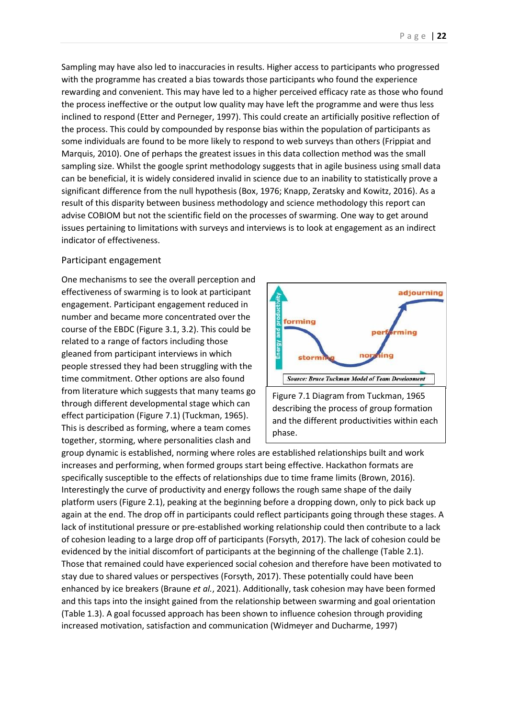Sampling may have also led to inaccuracies in results. Higher access to participants who progressed with the programme has created a bias towards those participants who found the experience rewarding and convenient. This may have led to a higher perceived efficacy rate as those who found the process ineffective or the output low quality may have left the programme and were thus less inclined to respond (Etter and Perneger, 1997). This could create an artificially positive reflection of the process. This could by compounded by response bias within the population of participants as some individuals are found to be more likely to respond to web surveys than others (Frippiat and Marquis, 2010). One of perhaps the greatest issues in this data collection method was the small sampling size. Whilst the google sprint methodology suggests that in agile business using small data can be beneficial, it is widely considered invalid in science due to an inability to statistically prove a significant difference from the null hypothesis (Box, 1976; Knapp, Zeratsky and Kowitz, 2016). As a result of this disparity between business methodology and science methodology this report can advise COBIOM but not the scientific field on the processes of swarming. One way to get around issues pertaining to limitations with surveys and interviews is to look at engagement as an indirect indicator of effectiveness.

#### Participant engagement

One mechanisms to see the overall perception and effectiveness of swarming is to look at participant engagement. Participant engagement reduced in number and became more concentrated over the course of the EBDC (Figure 3.1, 3.2). This could be related to a range of factors including those gleaned from participant interviews in which people stressed they had been struggling with the time commitment. Other options are also found from literature which suggests that many teams go through different developmental stage which can effect participation (Figure 7.1) (Tuckman, 1965). This is described as forming, where a team comes together, storming, where personalities clash and



Figure 7.1 Diagram from Tuckman, 1965 describing the process of group formation and the different productivities within each phase.

group dynamic is established, norming where roles are established relationships built and work increases and performing, when formed groups start being effective. Hackathon formats are specifically susceptible to the effects of relationships due to time frame limits (Brown, 2016). Interestingly the curve of productivity and energy follows the rough same shape of the daily platform users (Figure 2.1), peaking at the beginning before a dropping down, only to pick back up again at the end. The drop off in participants could reflect participants going through these stages. A lack of institutional pressure or pre-established working relationship could then contribute to a lack of cohesion leading to a large drop off of participants (Forsyth, 2017). The lack of cohesion could be evidenced by the initial discomfort of participants at the beginning of the challenge (Table 2.1). Those that remained could have experienced social cohesion and therefore have been motivated to stay due to shared values or perspectives (Forsyth, 2017). These potentially could have been enhanced by ice breakers (Braune *et al.*, 2021). Additionally, task cohesion may have been formed and this taps into the insight gained from the relationship between swarming and goal orientation (Table 1.3). A goal focussed approach has been shown to influence cohesion through providing increased motivation, satisfaction and communication (Widmeyer and Ducharme, 1997)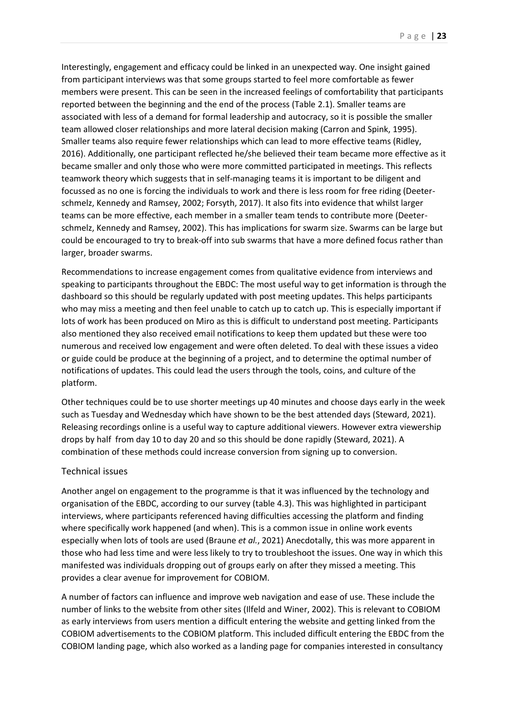Interestingly, engagement and efficacy could be linked in an unexpected way. One insight gained from participant interviews was that some groups started to feel more comfortable as fewer members were present. This can be seen in the increased feelings of comfortability that participants reported between the beginning and the end of the process (Table 2.1). Smaller teams are associated with less of a demand for formal leadership and autocracy, so it is possible the smaller team allowed closer relationships and more lateral decision making (Carron and Spink, 1995). Smaller teams also require fewer relationships which can lead to more effective teams (Ridley, 2016). Additionally, one participant reflected he/she believed their team became more effective as it became smaller and only those who were more committed participated in meetings. This reflects teamwork theory which suggests that in self-managing teams it is important to be diligent and focussed as no one is forcing the individuals to work and there is less room for free riding (Deeterschmelz, Kennedy and Ramsey, 2002; Forsyth, 2017). It also fits into evidence that whilst larger teams can be more effective, each member in a smaller team tends to contribute more (Deeterschmelz, Kennedy and Ramsey, 2002). This has implications for swarm size. Swarms can be large but could be encouraged to try to break-off into sub swarms that have a more defined focus rather than larger, broader swarms.

Recommendations to increase engagement comes from qualitative evidence from interviews and speaking to participants throughout the EBDC: The most useful way to get information is through the dashboard so this should be regularly updated with post meeting updates. This helps participants who may miss a meeting and then feel unable to catch up to catch up. This is especially important if lots of work has been produced on Miro as this is difficult to understand post meeting. Participants also mentioned they also received email notifications to keep them updated but these were too numerous and received low engagement and were often deleted. To deal with these issues a video or guide could be produce at the beginning of a project, and to determine the optimal number of notifications of updates. This could lead the users through the tools, coins, and culture of the platform.

Other techniques could be to use shorter meetings up 40 minutes and choose days early in the week such as Tuesday and Wednesday which have shown to be the best attended days (Steward, 2021). Releasing recordings online is a useful way to capture additional viewers. However extra viewership drops by half from day 10 to day 20 and so this should be done rapidly (Steward, 2021). A combination of these methods could increase conversion from signing up to conversion.

#### Technical issues

Another angel on engagement to the programme is that it was influenced by the technology and organisation of the EBDC, according to our survey (table 4.3). This was highlighted in participant interviews, where participants referenced having difficulties accessing the platform and finding where specifically work happened (and when). This is a common issue in online work events especially when lots of tools are used (Braune *et al.*, 2021) Anecdotally, this was more apparent in those who had less time and were less likely to try to troubleshoot the issues. One way in which this manifested was individuals dropping out of groups early on after they missed a meeting. This provides a clear avenue for improvement for COBIOM.

A number of factors can influence and improve web navigation and ease of use. These include the number of links to the website from other sites (Ilfeld and Winer, 2002). This is relevant to COBIOM as early interviews from users mention a difficult entering the website and getting linked from the COBIOM advertisements to the COBIOM platform. This included difficult entering the EBDC from the COBIOM landing page, which also worked as a landing page for companies interested in consultancy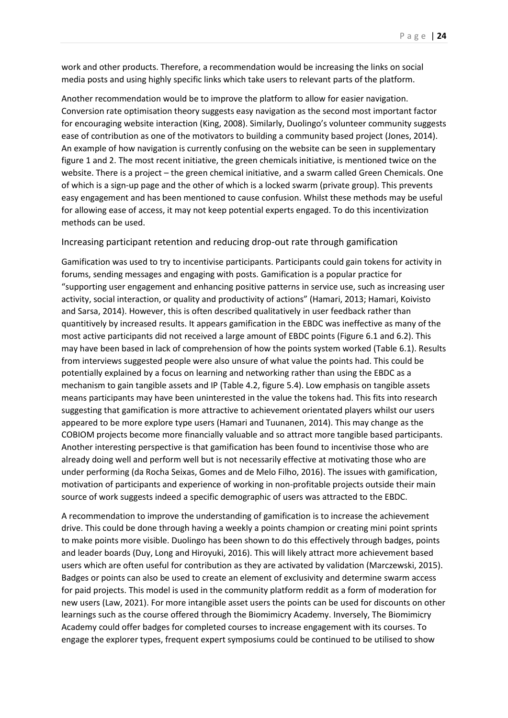work and other products. Therefore, a recommendation would be increasing the links on social media posts and using highly specific links which take users to relevant parts of the platform.

Another recommendation would be to improve the platform to allow for easier navigation. Conversion rate optimisation theory suggests easy navigation as the second most important factor for encouraging website interaction (King, 2008). Similarly, Duolingo's volunteer community suggests ease of contribution as one of the motivators to building a community based project (Jones, 2014). An example of how navigation is currently confusing on the website can be seen in supplementary figure 1 and 2. The most recent initiative, the green chemicals initiative, is mentioned twice on the website. There is a project – the green chemical initiative, and a swarm called Green Chemicals. One of which is a sign-up page and the other of which is a locked swarm (private group). This prevents easy engagement and has been mentioned to cause confusion. Whilst these methods may be useful for allowing ease of access, it may not keep potential experts engaged. To do this incentivization methods can be used.

## Increasing participant retention and reducing drop-out rate through gamification

Gamification was used to try to incentivise participants. Participants could gain tokens for activity in forums, sending messages and engaging with posts. Gamification is a popular practice for "supporting user engagement and enhancing positive patterns in service use, such as increasing user activity, social interaction, or quality and productivity of actions" (Hamari, 2013; Hamari, Koivisto and Sarsa, 2014). However, this is often described qualitatively in user feedback rather than quantitively by increased results. It appears gamification in the EBDC was ineffective as many of the most active participants did not received a large amount of EBDC points (Figure 6.1 and 6.2). This may have been based in lack of comprehension of how the points system worked (Table 6.1). Results from interviews suggested people were also unsure of what value the points had. This could be potentially explained by a focus on learning and networking rather than using the EBDC as a mechanism to gain tangible assets and IP (Table 4.2, figure 5.4). Low emphasis on tangible assets means participants may have been uninterested in the value the tokens had. This fits into research suggesting that gamification is more attractive to achievement orientated players whilst our users appeared to be more explore type users (Hamari and Tuunanen, 2014). This may change as the COBIOM projects become more financially valuable and so attract more tangible based participants. Another interesting perspective is that gamification has been found to incentivise those who are already doing well and perform well but is not necessarily effective at motivating those who are under performing (da Rocha Seixas, Gomes and de Melo Filho, 2016). The issues with gamification, motivation of participants and experience of working in non-profitable projects outside their main source of work suggests indeed a specific demographic of users was attracted to the EBDC.

A recommendation to improve the understanding of gamification is to increase the achievement drive. This could be done through having a weekly a points champion or creating mini point sprints to make points more visible. Duolingo has been shown to do this effectively through badges, points and leader boards (Duy, Long and Hiroyuki, 2016). This will likely attract more achievement based users which are often useful for contribution as they are activated by validation (Marczewski, 2015). Badges or points can also be used to create an element of exclusivity and determine swarm access for paid projects. This model is used in the community platform reddit as a form of moderation for new users (Law, 2021). For more intangible asset users the points can be used for discounts on other learnings such as the course offered through the Biomimicry Academy. Inversely, The Biomimicry Academy could offer badges for completed courses to increase engagement with its courses. To engage the explorer types, frequent expert symposiums could be continued to be utilised to show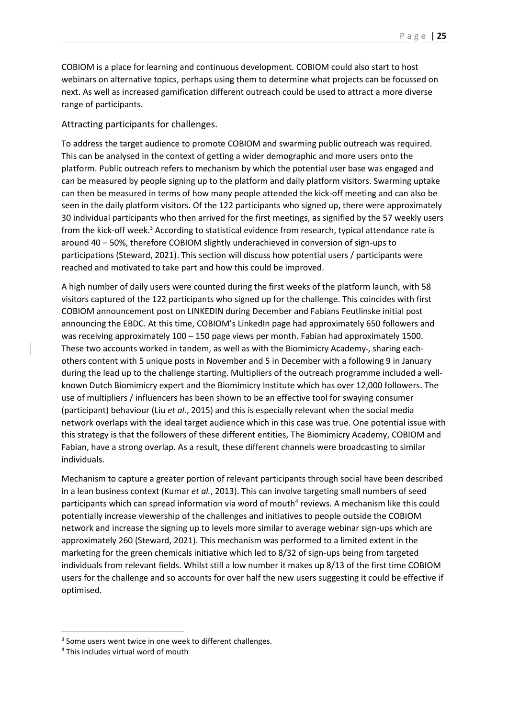COBIOM is a place for learning and continuous development. COBIOM could also start to host webinars on alternative topics, perhaps using them to determine what projects can be focussed on next. As well as increased gamification different outreach could be used to attract a more diverse range of participants.

### Attracting participants for challenges.

To address the target audience to promote COBIOM and swarming public outreach was required. This can be analysed in the context of getting a wider demographic and more users onto the platform. Public outreach refers to mechanism by which the potential user base was engaged and can be measured by people signing up to the platform and daily platform visitors. Swarming uptake can then be measured in terms of how many people attended the kick-off meeting and can also be seen in the daily platform visitors. Of the 122 participants who signed up, there were approximately 30 individual participants who then arrived for the first meetings, as signified by the 57 weekly users from the kick-off week.<sup>3</sup> According to statistical evidence from research, typical attendance rate is around 40 – 50%, therefore COBIOM slightly underachieved in conversion of sign-ups to participations (Steward, 2021). This section will discuss how potential users / participants were reached and motivated to take part and how this could be improved.

A high number of daily users were counted during the first weeks of the platform launch, with 58 visitors captured of the 122 participants who signed up for the challenge. This coincides with first COBIOM announcement post on LINKEDIN during December and Fabians Feutlinske initial post announcing the EBDC. At this time, COBIOM's LinkedIn page had approximately 650 followers and was receiving approximately 100 – 150 page views per month. Fabian had approximately 1500. These two accounts worked in tandem, as well as with the Biomimicry Academy-, sharing eachothers content with 5 unique posts in November and 5 in December with a following 9 in January during the lead up to the challenge starting. Multipliers of the outreach programme included a wellknown Dutch Biomimicry expert and the Biomimicry Institute which has over 12,000 followers. The use of multipliers / influencers has been shown to be an effective tool for swaying consumer (participant) behaviour (Liu *et al.*, 2015) and this is especially relevant when the social media network overlaps with the ideal target audience which in this case was true. One potential issue with this strategy is that the followers of these different entities, The Biomimicry Academy, COBIOM and Fabian, have a strong overlap. As a result, these different channels were broadcasting to similar individuals.

Mechanism to capture a greater portion of relevant participants through social have been described in a lean business context (Kumar *et al.*, 2013). This can involve targeting small numbers of seed participants which can spread information via word of mouth<sup>4</sup> reviews. A mechanism like this could potentially increase viewership of the challenges and initiatives to people outside the COBIOM network and increase the signing up to levels more similar to average webinar sign-ups which are approximately 260 (Steward, 2021). This mechanism was performed to a limited extent in the marketing for the green chemicals initiative which led to 8/32 of sign-ups being from targeted individuals from relevant fields. Whilst still a low number it makes up 8/13 of the first time COBIOM users for the challenge and so accounts for over half the new users suggesting it could be effective if optimised.

<sup>&</sup>lt;sup>3</sup> Some users went twice in one week to different challenges.

<sup>4</sup> This includes virtual word of mouth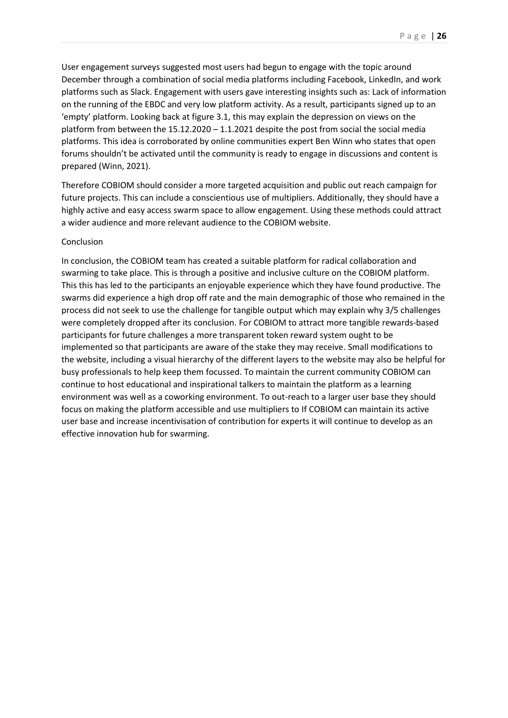User engagement surveys suggested most users had begun to engage with the topic around December through a combination of social media platforms including Facebook, LinkedIn, and work platforms such as Slack. Engagement with users gave interesting insights such as: Lack of information on the running of the EBDC and very low platform activity. As a result, participants signed up to an 'empty' platform. Looking back at figure 3.1, this may explain the depression on views on the platform from between the 15.12.2020 – 1.1.2021 despite the post from social the social media platforms. This idea is corroborated by online communities expert Ben Winn who states that open forums shouldn't be activated until the community is ready to engage in discussions and content is prepared (Winn, 2021).

Therefore COBIOM should consider a more targeted acquisition and public out reach campaign for future projects. This can include a conscientious use of multipliers. Additionally, they should have a highly active and easy access swarm space to allow engagement. Using these methods could attract a wider audience and more relevant audience to the COBIOM website.

#### Conclusion

In conclusion, the COBIOM team has created a suitable platform for radical collaboration and swarming to take place. This is through a positive and inclusive culture on the COBIOM platform. This this has led to the participants an enjoyable experience which they have found productive. The swarms did experience a high drop off rate and the main demographic of those who remained in the process did not seek to use the challenge for tangible output which may explain why 3/5 challenges were completely dropped after its conclusion. For COBIOM to attract more tangible rewards-based participants for future challenges a more transparent token reward system ought to be implemented so that participants are aware of the stake they may receive. Small modifications to the website, including a visual hierarchy of the different layers to the website may also be helpful for busy professionals to help keep them focussed. To maintain the current community COBIOM can continue to host educational and inspirational talkers to maintain the platform as a learning environment was well as a coworking environment. To out-reach to a larger user base they should focus on making the platform accessible and use multipliers to If COBIOM can maintain its active user base and increase incentivisation of contribution for experts it will continue to develop as an effective innovation hub for swarming.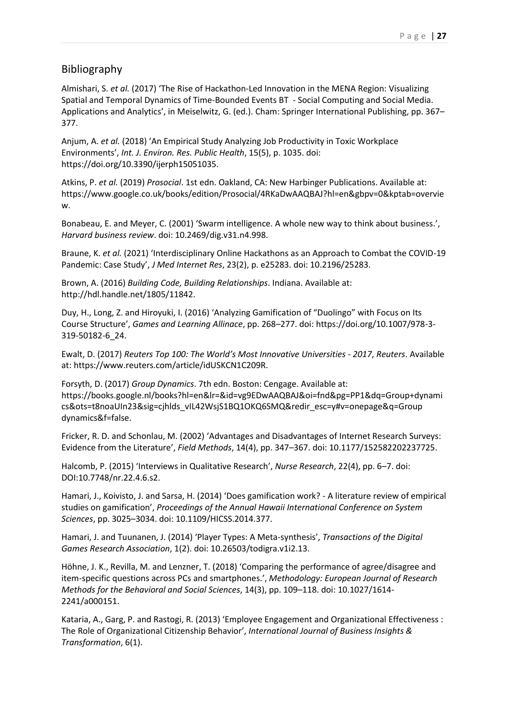# Bibliography

Almishari, S. *et al.* (2017) 'The Rise of Hackathon-Led Innovation in the MENA Region: Visualizing Spatial and Temporal Dynamics of Time-Bounded Events BT - Social Computing and Social Media. Applications and Analytics', in Meiselwitz, G. (ed.). Cham: Springer International Publishing, pp. 367– 377.

Anjum, A. *et al.* (2018) 'An Empirical Study Analyzing Job Productivity in Toxic Workplace Environments', *Int. J. Environ. Res. Public Health*, 15(5), p. 1035. doi: https://doi.org/10.3390/ijerph15051035.

Atkins, P. *et al.* (2019) *Prosocial*. 1st edn. Oakland, CA: New Harbinger Publications. Available at: https://www.google.co.uk/books/edition/Prosocial/4RKaDwAAQBAJ?hl=en&gbpv=0&kptab=overvie w.

Bonabeau, E. and Meyer, C. (2001) 'Swarm intelligence. A whole new way to think about business.', *Harvard business review*. doi: 10.2469/dig.v31.n4.998.

Braune, K. *et al.* (2021) 'Interdisciplinary Online Hackathons as an Approach to Combat the COVID-19 Pandemic: Case Study', *J Med Internet Res*, 23(2), p. e25283. doi: 10.2196/25283.

Brown, A. (2016) *Building Code, Building Relationships*. Indiana. Available at: http://hdl.handle.net/1805/11842.

Duy, H., Long, Z. and Hiroyuki, I. (2016) 'Analyzing Gamification of "Duolingo" with Focus on Its Course Structure', *Games and Learning Allinace*, pp. 268–277. doi: https://doi.org/10.1007/978-3- 319-50182-6\_24.

Ewalt, D. (2017) *Reuters Top 100: The World's Most Innovative Universities - 2017*, *Reuters*. Available at: https://www.reuters.com/article/idUSKCN1C209R.

Forsyth, D. (2017) *Group Dynamics*. 7th edn. Boston: Cengage. Available at: https://books.google.nl/books?hl=en&lr=&id=vg9EDwAAQBAJ&oi=fnd&pg=PP1&dq=Group+dynami cs&ots=t8noaUIn23&sig=cjhlds\_vIL42WsjS1BQ1OKQ6SMQ&redir\_esc=y#v=onepage&q=Group dynamics&f=false.

Fricker, R. D. and Schonlau, M. (2002) 'Advantages and Disadvantages of Internet Research Surveys: Evidence from the Literature', *Field Methods*, 14(4), pp. 347–367. doi: 10.1177/152582202237725.

Halcomb, P. (2015) 'Interviews in Qualitative Research', *Nurse Research*, 22(4), pp. 6–7. doi: DOI:10.7748/nr.22.4.6.s2.

Hamari, J., Koivisto, J. and Sarsa, H. (2014) 'Does gamification work? - A literature review of empirical studies on gamification', *Proceedings of the Annual Hawaii International Conference on System Sciences*, pp. 3025–3034. doi: 10.1109/HICSS.2014.377.

Hamari, J. and Tuunanen, J. (2014) 'Player Types: A Meta-synthesis', *Transactions of the Digital Games Research Association*, 1(2). doi: 10.26503/todigra.v1i2.13.

Höhne, J. K., Revilla, M. and Lenzner, T. (2018) 'Comparing the performance of agree/disagree and item-specific questions across PCs and smartphones.', *Methodology: European Journal of Research Methods for the Behavioral and Social Sciences*, 14(3), pp. 109–118. doi: 10.1027/1614- 2241/a000151.

Kataria, A., Garg, P. and Rastogi, R. (2013) 'Employee Engagement and Organizational Effectiveness : The Role of Organizational Citizenship Behavior', *International Journal of Business Insights & Transformation*, 6(1).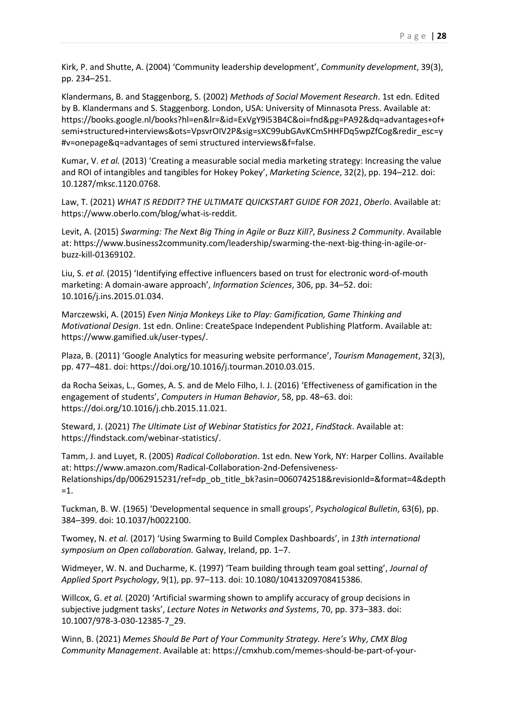Kirk, P. and Shutte, A. (2004) 'Community leadership development', *Community development*, 39(3), pp. 234–251.

Klandermans, B. and Staggenborg, S. (2002) *Methods of Social Movement Research*. 1st edn. Edited by B. Klandermans and S. Staggenborg. London, USA: University of Minnasota Press. Available at: https://books.google.nl/books?hl=en&lr=&id=ExVgY9i53B4C&oi=fnd&pg=PA92&dq=advantages+of+ semi+structured+interviews&ots=VpsvrOIV2P&sig=sXC99ubGAvKCmSHHFDq5wpZfCog&redir\_esc=y #v=onepage&q=advantages of semi structured interviews&f=false.

Kumar, V. *et al.* (2013) 'Creating a measurable social media marketing strategy: Increasing the value and ROI of intangibles and tangibles for Hokey Pokey', *Marketing Science*, 32(2), pp. 194–212. doi: 10.1287/mksc.1120.0768.

Law, T. (2021) *WHAT IS REDDIT? THE ULTIMATE QUICKSTART GUIDE FOR 2021*, *Oberlo*. Available at: https://www.oberlo.com/blog/what-is-reddit.

Levit, A. (2015) *Swarming: The Next Big Thing in Agile or Buzz Kill?*, *Business 2 Community*. Available at: https://www.business2community.com/leadership/swarming-the-next-big-thing-in-agile-orbuzz-kill-01369102.

Liu, S. *et al.* (2015) 'Identifying effective influencers based on trust for electronic word-of-mouth marketing: A domain-aware approach', *Information Sciences*, 306, pp. 34–52. doi: 10.1016/j.ins.2015.01.034.

Marczewski, A. (2015) *Even Ninja Monkeys Like to Play: Gamification, Game Thinking and Motivational Design*. 1st edn. Online: CreateSpace Independent Publishing Platform. Available at: https://www.gamified.uk/user-types/.

Plaza, B. (2011) 'Google Analytics for measuring website performance', *Tourism Management*, 32(3), pp. 477–481. doi: https://doi.org/10.1016/j.tourman.2010.03.015.

da Rocha Seixas, L., Gomes, A. S. and de Melo Filho, I. J. (2016) 'Effectiveness of gamification in the engagement of students', *Computers in Human Behavior*, 58, pp. 48–63. doi: https://doi.org/10.1016/j.chb.2015.11.021.

Steward, J. (2021) *The Ultimate List of Webinar Statistics for 2021*, *FindStack*. Available at: https://findstack.com/webinar-statistics/.

Tamm, J. and Luyet, R. (2005) *Radical Colloboration*. 1st edn. New York, NY: Harper Collins. Available at: https://www.amazon.com/Radical-Collaboration-2nd-Defensiveness-Relationships/dp/0062915231/ref=dp\_ob\_title\_bk?asin=0060742518&revisionId=&format=4&depth  $=1$ .

Tuckman, B. W. (1965) 'Developmental sequence in small groups', *Psychological Bulletin*, 63(6), pp. 384–399. doi: 10.1037/h0022100.

Twomey, N. *et al.* (2017) 'Using Swarming to Build Complex Dashboards', in *13th international symposium on Open collaboration.* Galway, Ireland, pp. 1–7.

Widmeyer, W. N. and Ducharme, K. (1997) 'Team building through team goal setting', *Journal of Applied Sport Psychology*, 9(1), pp. 97–113. doi: 10.1080/10413209708415386.

Willcox, G. *et al.* (2020) 'Artificial swarming shown to amplify accuracy of group decisions in subjective judgment tasks', *Lecture Notes in Networks and Systems*, 70, pp. 373–383. doi: 10.1007/978-3-030-12385-7\_29.

Winn, B. (2021) *Memes Should Be Part of Your Community Strategy. Here's Why*, *CMX Blog Community Management*. Available at: https://cmxhub.com/memes-should-be-part-of-your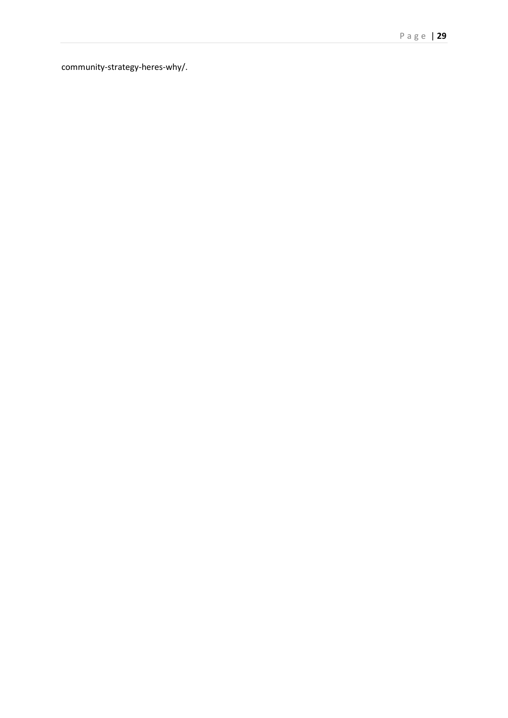community -strategy -heres -why/.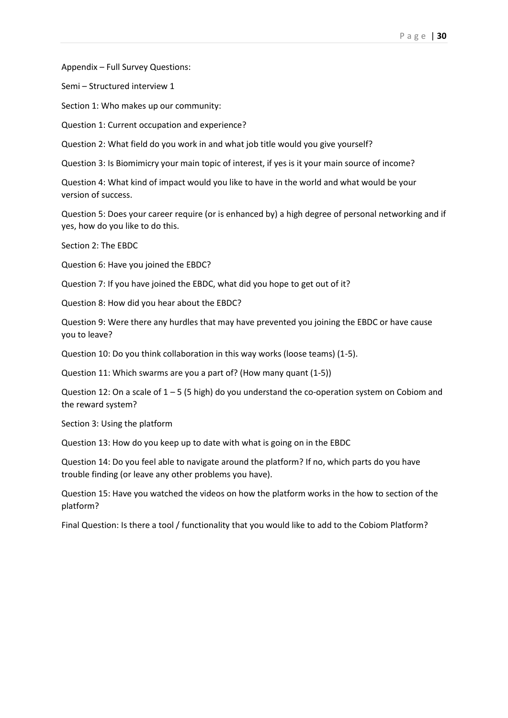Appendix – Full Survey Questions:

Semi – Structured interview 1

Section 1: Who makes up our community:

Question 1: Current occupation and experience?

Question 2: What field do you work in and what job title would you give yourself?

Question 3: Is Biomimicry your main topic of interest, if yes is it your main source of income?

Question 4: What kind of impact would you like to have in the world and what would be your version of success.

Question 5: Does your career require (or is enhanced by) a high degree of personal networking and if yes, how do you like to do this.

Section 2: The EBDC

Question 6: Have you joined the EBDC?

Question 7: If you have joined the EBDC, what did you hope to get out of it?

Question 8: How did you hear about the EBDC?

Question 9: Were there any hurdles that may have prevented you joining the EBDC or have cause you to leave?

Question 10: Do you think collaboration in this way works (loose teams) (1-5).

Question 11: Which swarms are you a part of? (How many quant (1-5))

Question 12: On a scale of  $1 - 5$  (5 high) do you understand the co-operation system on Cobiom and the reward system?

Section 3: Using the platform

Question 13: How do you keep up to date with what is going on in the EBDC

Question 14: Do you feel able to navigate around the platform? If no, which parts do you have trouble finding (or leave any other problems you have).

Question 15: Have you watched the videos on how the platform works in the how to section of the platform?

Final Question: Is there a tool / functionality that you would like to add to the Cobiom Platform?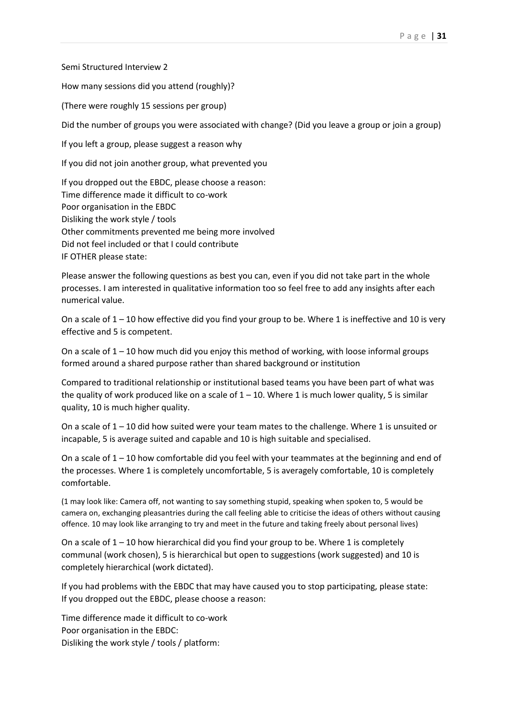Semi Structured Interview 2

How many sessions did you attend (roughly)?

(There were roughly 15 sessions per group)

Did the number of groups you were associated with change? (Did you leave a group or join a group)

If you left a group, please suggest a reason why

If you did not join another group, what prevented you

If you dropped out the EBDC, please choose a reason: Time difference made it difficult to co-work Poor organisation in the EBDC Disliking the work style / tools Other commitments prevented me being more involved Did not feel included or that I could contribute IF OTHER please state:

Please answer the following questions as best you can, even if you did not take part in the whole processes. I am interested in qualitative information too so feel free to add any insights after each numerical value.

On a scale of  $1 - 10$  how effective did you find your group to be. Where 1 is ineffective and 10 is very effective and 5 is competent.

On a scale of  $1 - 10$  how much did you enjoy this method of working, with loose informal groups formed around a shared purpose rather than shared background or institution

Compared to traditional relationship or institutional based teams you have been part of what was the quality of work produced like on a scale of  $1 - 10$ . Where 1 is much lower quality, 5 is similar quality, 10 is much higher quality.

On a scale of  $1 - 10$  did how suited were your team mates to the challenge. Where 1 is unsuited or incapable, 5 is average suited and capable and 10 is high suitable and specialised.

On a scale of 1 – 10 how comfortable did you feel with your teammates at the beginning and end of the processes. Where 1 is completely uncomfortable, 5 is averagely comfortable, 10 is completely comfortable.

(1 may look like: Camera off, not wanting to say something stupid, speaking when spoken to, 5 would be camera on, exchanging pleasantries during the call feeling able to criticise the ideas of others without causing offence. 10 may look like arranging to try and meet in the future and taking freely about personal lives)

On a scale of  $1 - 10$  how hierarchical did you find your group to be. Where 1 is completely communal (work chosen), 5 is hierarchical but open to suggestions (work suggested) and 10 is completely hierarchical (work dictated).

If you had problems with the EBDC that may have caused you to stop participating, please state: If you dropped out the EBDC, please choose a reason:

Time difference made it difficult to co-work Poor organisation in the EBDC: Disliking the work style / tools / platform: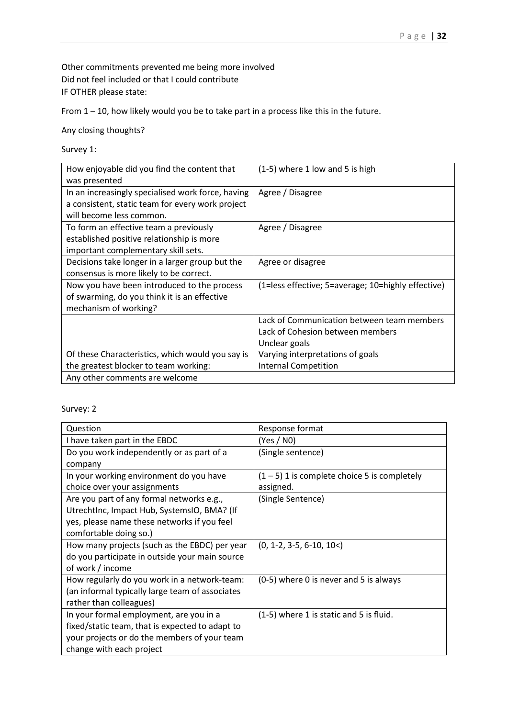Other commitments prevented me being more involved Did not feel included or that I could contribute IF OTHER please state:

From 1 – 10, how likely would you be to take part in a process like this in the future.

Any closing thoughts?

Survey 1:

| How enjoyable did you find the content that       | (1-5) where 1 low and 5 is high                    |
|---------------------------------------------------|----------------------------------------------------|
| was presented                                     |                                                    |
| In an increasingly specialised work force, having | Agree / Disagree                                   |
| a consistent, static team for every work project  |                                                    |
| will become less common.                          |                                                    |
| To form an effective team a previously            | Agree / Disagree                                   |
| established positive relationship is more         |                                                    |
| important complementary skill sets.               |                                                    |
| Decisions take longer in a larger group but the   | Agree or disagree                                  |
| consensus is more likely to be correct.           |                                                    |
| Now you have been introduced to the process       | (1=less effective; 5=average; 10=highly effective) |
| of swarming, do you think it is an effective      |                                                    |
| mechanism of working?                             |                                                    |
|                                                   | Lack of Communication between team members         |
|                                                   | Lack of Cohesion between members                   |
|                                                   | Unclear goals                                      |
| Of these Characteristics, which would you say is  | Varying interpretations of goals                   |
| the greatest blocker to team working:             | <b>Internal Competition</b>                        |
| Any other comments are welcome                    |                                                    |

# Survey: 2

| Question                                        | Response format                                |
|-------------------------------------------------|------------------------------------------------|
| I have taken part in the EBDC                   | (Yes / N0)                                     |
| Do you work independently or as part of a       | (Single sentence)                              |
| company                                         |                                                |
| In your working environment do you have         | $(1 - 5)$ 1 is complete choice 5 is completely |
| choice over your assignments                    | assigned.                                      |
| Are you part of any formal networks e.g.,       | (Single Sentence)                              |
| UtrechtInc, Impact Hub, SystemsIO, BMA? (If     |                                                |
| yes, please name these networks if you feel     |                                                |
| comfortable doing so.)                          |                                                |
| How many projects (such as the EBDC) per year   | $(0, 1-2, 3-5, 6-10, 10<)$                     |
| do you participate in outside your main source  |                                                |
| of work / income                                |                                                |
| How regularly do you work in a network-team:    | (0-5) where 0 is never and 5 is always         |
| (an informal typically large team of associates |                                                |
| rather than colleagues)                         |                                                |
| In your formal employment, are you in a         | (1-5) where 1 is static and 5 is fluid.        |
| fixed/static team, that is expected to adapt to |                                                |
| your projects or do the members of your team    |                                                |
| change with each project                        |                                                |